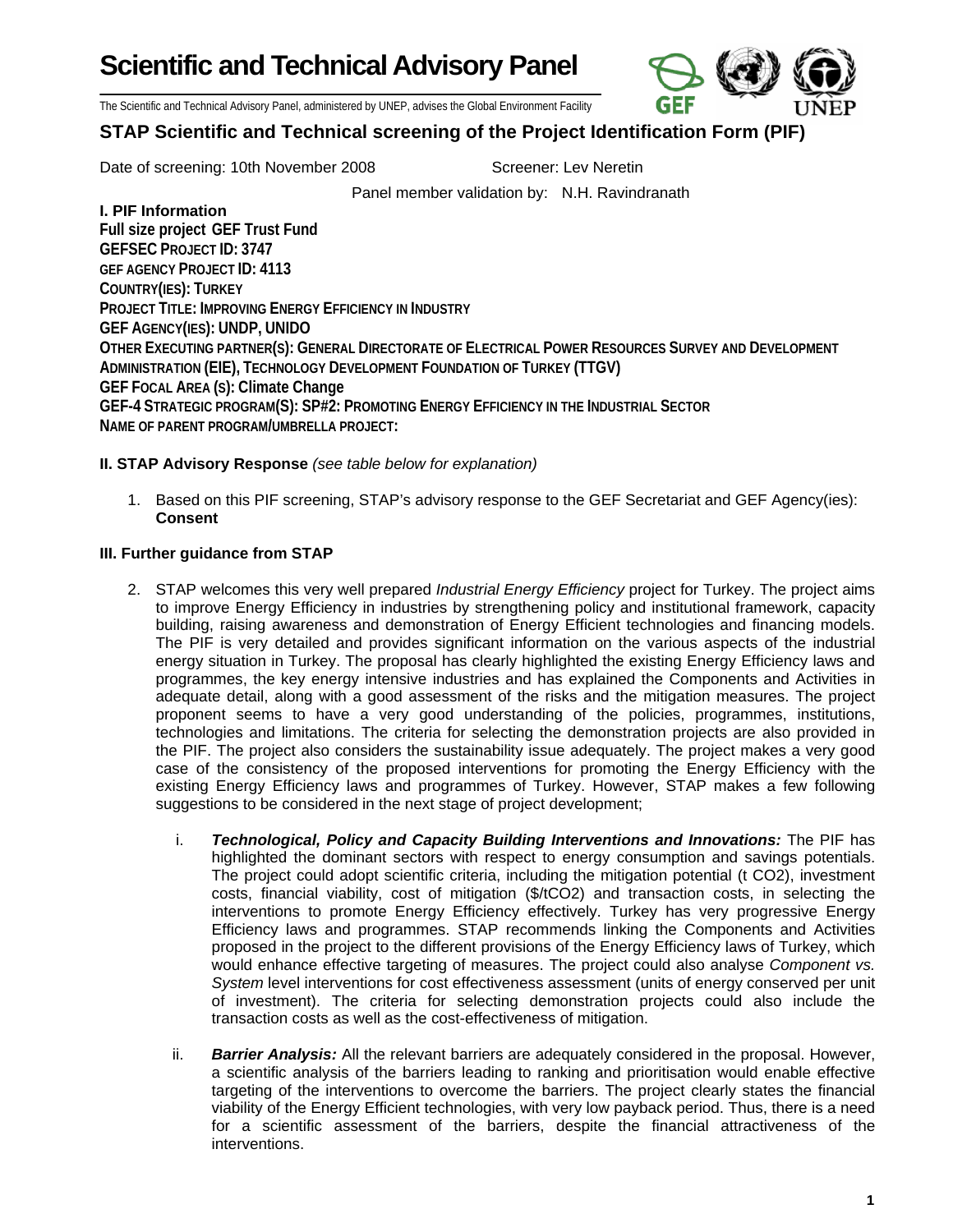**Scientific and Technical Advisory Panel** 



The Scientific and Technical Advisory Panel, administered by UNEP, advises the Global Environment Facility

## **STAP Scientific and Technical screening of the Project Identification Form (PIF)**

Date of screening: 10th November 2008 Screener: Lev Neretin

Panel member validation by: N.H. Ravindranath

## **I. PIF Information**

**Full size project GEF Trust Fund GEFSEC PROJECT ID: 3747 GEF AGENCY PROJECT ID: 4113 COUNTRY(IES): TURKEY PROJECT TITLE: IMPROVING ENERGY EFFICIENCY IN INDUSTRY GEF AGENCY(IES): UNDP, UNIDO OTHER EXECUTING PARTNER(S): GENERAL DIRECTORATE OF ELECTRICAL POWER RESOURCES SURVEY AND DEVELOPMENT ADMINISTRATION (EIE), TECHNOLOGY DEVELOPMENT FOUNDATION OF TURKEY (TTGV) GEF FOCAL AREA (S): Climate Change GEF-4 STRATEGIC PROGRAM(S): SP#2: PROMOTING ENERGY EFFICIENCY IN THE INDUSTRIAL SECTOR NAME OF PARENT PROGRAM/UMBRELLA PROJECT:** 

## **II. STAP Advisory Response** *(see table below for explanation)*

1. Based on this PIF screening, STAP's advisory response to the GEF Secretariat and GEF Agency(ies): **Consent** 

## **III. Further guidance from STAP**

- 2. STAP welcomes this very well prepared *Industrial Energy Efficiency* project for Turkey. The project aims to improve Energy Efficiency in industries by strengthening policy and institutional framework, capacity building, raising awareness and demonstration of Energy Efficient technologies and financing models. The PIF is very detailed and provides significant information on the various aspects of the industrial energy situation in Turkey. The proposal has clearly highlighted the existing Energy Efficiency laws and programmes, the key energy intensive industries and has explained the Components and Activities in adequate detail, along with a good assessment of the risks and the mitigation measures. The project proponent seems to have a very good understanding of the policies, programmes, institutions, technologies and limitations. The criteria for selecting the demonstration projects are also provided in the PIF. The project also considers the sustainability issue adequately. The project makes a very good case of the consistency of the proposed interventions for promoting the Energy Efficiency with the existing Energy Efficiency laws and programmes of Turkey. However, STAP makes a few following suggestions to be considered in the next stage of project development;
	- i. **Technological, Policy and Capacity Building Interventions and Innovations:** The PIF has highlighted the dominant sectors with respect to energy consumption and savings potentials. The project could adopt scientific criteria, including the mitigation potential (t CO2), investment costs, financial viability, cost of mitigation (\$/tCO2) and transaction costs, in selecting the interventions to promote Energy Efficiency effectively. Turkey has very progressive Energy Efficiency laws and programmes. STAP recommends linking the Components and Activities proposed in the project to the different provisions of the Energy Efficiency laws of Turkey, which would enhance effective targeting of measures. The project could also analyse *Component vs. System* level interventions for cost effectiveness assessment (units of energy conserved per unit of investment). The criteria for selecting demonstration projects could also include the transaction costs as well as the cost-effectiveness of mitigation.
	- ii. *Barrier Analysis:* All the relevant barriers are adequately considered in the proposal. However, a scientific analysis of the barriers leading to ranking and prioritisation would enable effective targeting of the interventions to overcome the barriers. The project clearly states the financial viability of the Energy Efficient technologies, with very low payback period. Thus, there is a need for a scientific assessment of the barriers, despite the financial attractiveness of the interventions.